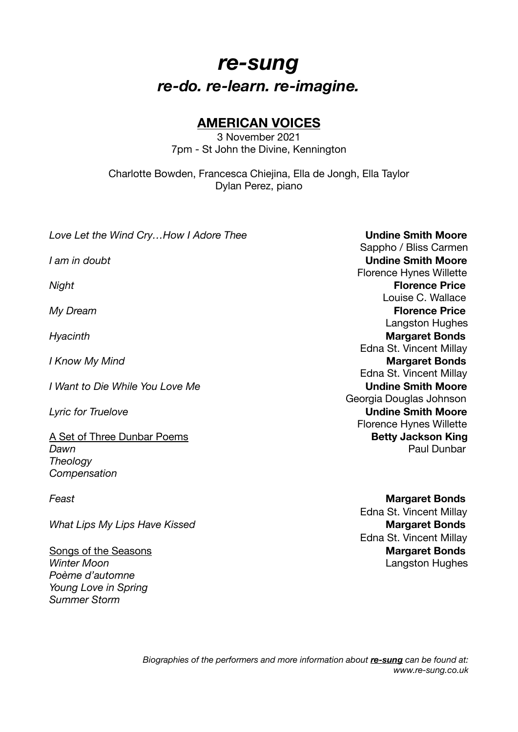## *re-sung re-do. re-learn. re-imagine.*

## **AMERICAN VOICES**

3 November 2021 7pm - St John the Divine, Kennington

Charlotte Bowden, Francesca Chiejina, Ella de Jongh, Ella Taylor Dylan Perez, piano

**Love Let the Wind Cry...How I Adore Thee Undine Smith Moore**  Sappho / Bliss Carmen *I am in doubt* **Undine Smith Moore**  Florence Hynes Willette *Night* **Florence Price** Louise C. Wallace *My Dream* **Contract Contract Contract Contract Contract Contract Contract Contract Contract Contract Contract Contract Contract Contract Contract Contract Contract Contract Contract Contract Contract Contract Contract C**  Langston Hughes **Hyacinth**  Edna St. Vincent Millay *I Know My Mind Margaret Bonds*  Edna St. Vincent Millay *I* Want to Die While You Love Me Georgia Douglas Johnson **Lyric for Truelove** *Lyric for Truelove*  Florence Hynes Willette A Set of Three Dunbar Poems **Betty Jackson King Dawn Dawn Dawn** *Dawn*   *Dawn*   *Dawn*  **Paul Dunbar Paul Dunbar** *Theology Compensation* 

*What Lips My Lips Have Kissed m**Margaret Bonds* **<b>***Margaret Bonds* 

*Poème d'automne Young Love in Spring Summer Storm* 

**Feast Margaret Bonds Edna St. Vincent Millay Edna St. Vincent Millav** Songs of the Seasons *Songs* of the Seasons *Margaret Bonds Winter Moon CONDERGIST <b>CONDERGIST CONDERGISTS CONDERGISTS CONDERGISTS CONDERGISTS CONDERGISTS*